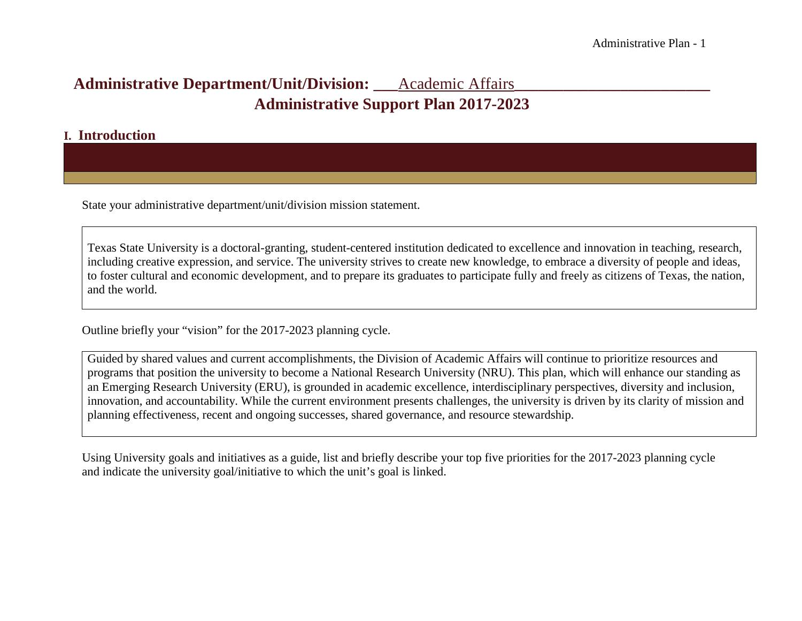## **Administrative Department/Unit/Division: \_\_\_**Academic Affairs**\_\_\_\_\_\_\_\_\_\_\_\_\_\_\_\_\_\_\_\_\_\_\_\_ Administrative Support Plan 2017-2023**

#### **I. Introduction**

State your administrative department/unit/division mission statement.

Texas State University is a doctoral-granting, student-centered institution dedicated to excellence and innovation in teaching, research, including creative expression, and service. The university strives to create new knowledge, to embrace a diversity of people and ideas, to foster cultural and economic development, and to prepare its graduates to participate fully and freely as citizens of Texas, the nation, and the world.

Outline briefly your "vision" for the 2017-2023 planning cycle.

Guided by shared values and current accomplishments, the Division of Academic Affairs will continue to prioritize resources and programs that position the university to become a National Research University (NRU). This plan, which will enhance our standing as an Emerging Research University (ERU), is grounded in academic excellence, interdisciplinary perspectives, diversity and inclusion, innovation, and accountability. While the current environment presents challenges, the university is driven by its clarity of mission and planning effectiveness, recent and ongoing successes, shared governance, and resource stewardship.

Using University goals and initiatives as a guide, list and briefly describe your top five priorities for the 2017-2023 planning cycle and indicate the university goal/initiative to which the unit's goal is linked.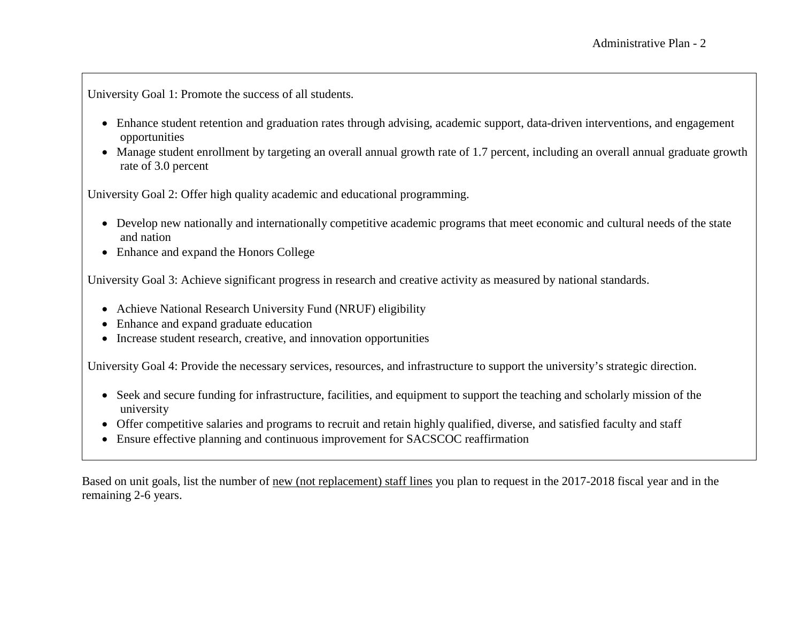University Goal 1: Promote the success of all students.

- Enhance student retention and graduation rates through advising, academic support, data-driven interventions, and engagement opportunities
- Manage student enrollment by targeting an overall annual growth rate of 1.7 percent, including an overall annual graduate growth rate of 3.0 percent

University Goal 2: Offer high quality academic and educational programming.

- Develop new nationally and internationally competitive academic programs that meet economic and cultural needs of the state and nation
- Enhance and expand the Honors College

University Goal 3: Achieve significant progress in research and creative activity as measured by national standards.

- Achieve National Research University Fund (NRUF) eligibility
- Enhance and expand graduate education
- Increase student research, creative, and innovation opportunities

University Goal 4: Provide the necessary services, resources, and infrastructure to support the university's strategic direction.

- Seek and secure funding for infrastructure, facilities, and equipment to support the teaching and scholarly mission of the university
- Offer competitive salaries and programs to recruit and retain highly qualified, diverse, and satisfied faculty and staff
- Ensure effective planning and continuous improvement for SACSCOC reaffirmation

Based on unit goals, list the number of new (not replacement) staff lines you plan to request in the 2017-2018 fiscal year and in the remaining 2-6 years.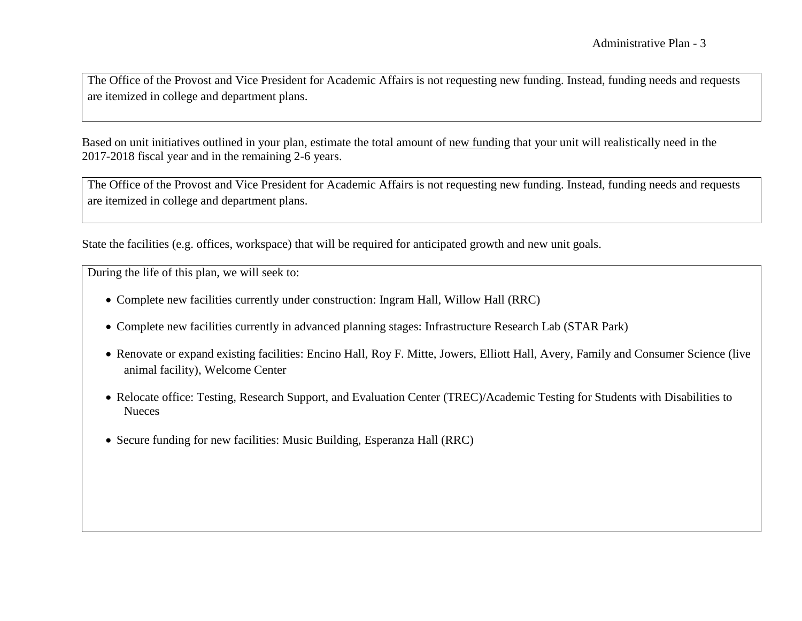The Office of the Provost and Vice President for Academic Affairs is not requesting new funding. Instead, funding needs and requests are itemized in college and department plans.

Based on unit initiatives outlined in your plan, estimate the total amount of new funding that your unit will realistically need in the 2017-2018 fiscal year and in the remaining 2-6 years.

The Office of the Provost and Vice President for Academic Affairs is not requesting new funding. Instead, funding needs and requests are itemized in college and department plans.

State the facilities (e.g. offices, workspace) that will be required for anticipated growth and new unit goals.

During the life of this plan, we will seek to:

- Complete new facilities currently under construction: Ingram Hall, Willow Hall (RRC)
- Complete new facilities currently in advanced planning stages: Infrastructure Research Lab (STAR Park)
- Renovate or expand existing facilities: Encino Hall, Roy F. Mitte, Jowers, Elliott Hall, Avery, Family and Consumer Science (live animal facility), Welcome Center
- Relocate office: Testing, Research Support, and Evaluation Center (TREC)/Academic Testing for Students with Disabilities to **Nueces**
- Secure funding for new facilities: Music Building, Esperanza Hall (RRC)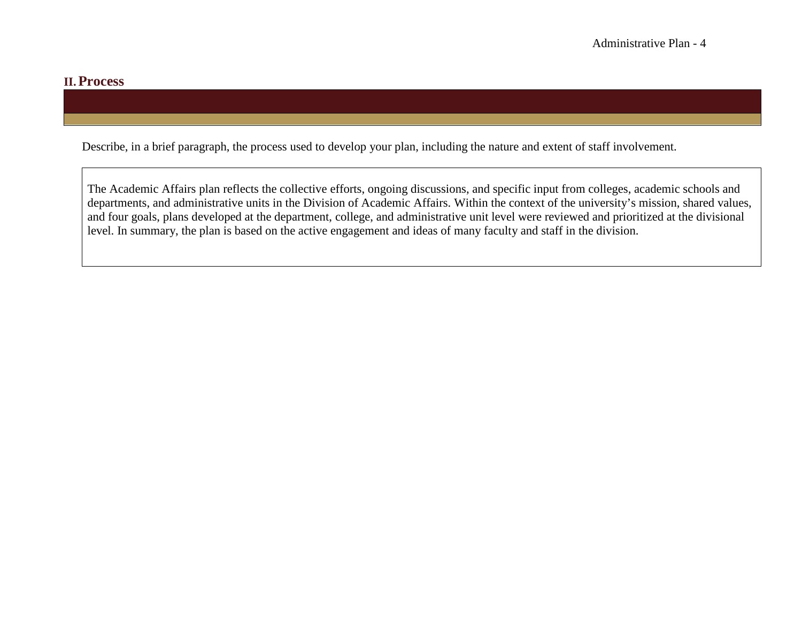#### **II.Process**

Describe, in a brief paragraph, the process used to develop your plan, including the nature and extent of staff involvement.

The Academic Affairs plan reflects the collective efforts, ongoing discussions, and specific input from colleges, academic schools and departments, and administrative units in the Division of Academic Affairs. Within the context of the university's mission, shared values, and four goals, plans developed at the department, college, and administrative unit level were reviewed and prioritized at the divisional level. In summary, the plan is based on the active engagement and ideas of many faculty and staff in the division.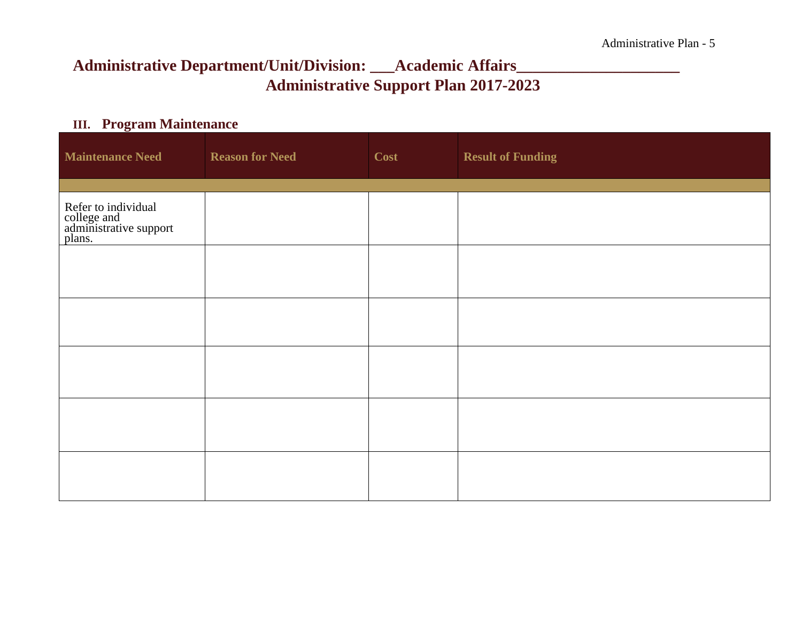# **Administrative Department/Unit/Division: \_\_\_Academic Affairs\_\_\_\_\_\_\_\_\_\_\_\_\_\_\_\_\_\_\_\_ Administrative Support Plan 2017-2023**

### **III. Program Maintenance**

| <b>Maintenance Need</b>                                                | <b>Reason for Need</b> | Cost | <b>Result of Funding</b> |
|------------------------------------------------------------------------|------------------------|------|--------------------------|
| Refer to individual<br>college and<br>administrative support<br>plans. |                        |      |                          |
|                                                                        |                        |      |                          |
|                                                                        |                        |      |                          |
|                                                                        |                        |      |                          |
|                                                                        |                        |      |                          |
|                                                                        |                        |      |                          |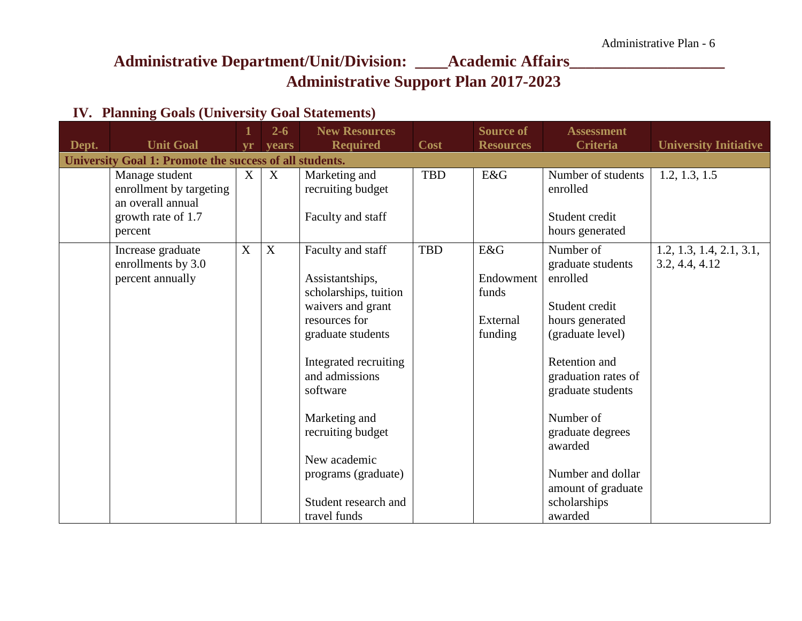## **Administrative Department/Unit/Division: \_\_\_\_Academic Affairs\_\_\_\_\_\_\_\_\_\_\_\_\_\_\_\_\_\_\_ Administrative Support Plan 2017-2023**

### **IV. Planning Goals (University Goal Statements)**

| Dept. | <b>Unit Goal</b>                                                                                | <b>vr</b> | $2 - 6$<br>years | <b>New Resources</b><br><b>Required</b>                                                                                                                                                                                                                                                              | Cost       | <b>Source of</b><br><b>Resources</b>             | <b>Assessment</b><br><b>Criteria</b>                                                                                                                                                                                                                                               | <b>University Initiative</b>               |
|-------|-------------------------------------------------------------------------------------------------|-----------|------------------|------------------------------------------------------------------------------------------------------------------------------------------------------------------------------------------------------------------------------------------------------------------------------------------------------|------------|--------------------------------------------------|------------------------------------------------------------------------------------------------------------------------------------------------------------------------------------------------------------------------------------------------------------------------------------|--------------------------------------------|
|       | University Goal 1: Promote the success of all students.                                         |           |                  |                                                                                                                                                                                                                                                                                                      |            |                                                  |                                                                                                                                                                                                                                                                                    |                                            |
|       | Manage student<br>enrollment by targeting<br>an overall annual<br>growth rate of 1.7<br>percent | X         | $\boldsymbol{X}$ | Marketing and<br>recruiting budget<br>Faculty and staff                                                                                                                                                                                                                                              | <b>TBD</b> | E&G                                              | Number of students<br>enrolled<br>Student credit<br>hours generated                                                                                                                                                                                                                | 1.2, 1.3, 1.5                              |
|       | Increase graduate<br>enrollments by 3.0<br>percent annually                                     | X         | X                | Faculty and staff<br>Assistantships,<br>scholarships, tuition<br>waivers and grant<br>resources for<br>graduate students<br>Integrated recruiting<br>and admissions<br>software<br>Marketing and<br>recruiting budget<br>New academic<br>programs (graduate)<br>Student research and<br>travel funds | TBD        | E&G<br>Endowment<br>funds<br>External<br>funding | Number of<br>graduate students<br>enrolled<br>Student credit<br>hours generated<br>(graduate level)<br>Retention and<br>graduation rates of<br>graduate students<br>Number of<br>graduate degrees<br>awarded<br>Number and dollar<br>amount of graduate<br>scholarships<br>awarded | 1.2, 1.3, 1.4, 2.1, 3.1,<br>3.2, 4.4, 4.12 |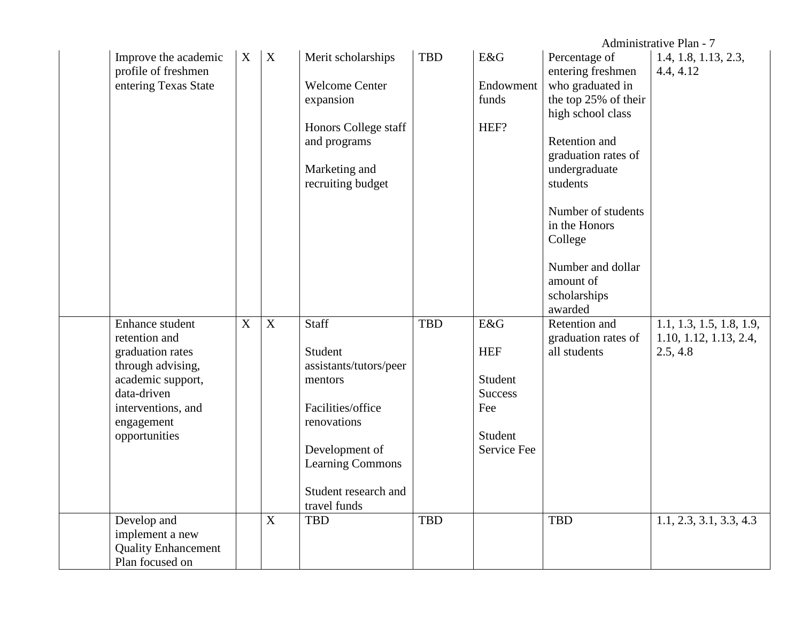|                                             |             |             |                        |            |                |                                    | Administrative Plan - 7           |
|---------------------------------------------|-------------|-------------|------------------------|------------|----------------|------------------------------------|-----------------------------------|
| Improve the academic<br>profile of freshmen | X           | X           | Merit scholarships     | <b>TBD</b> | E&G            | Percentage of<br>entering freshmen | 1.4, 1.8, 1.13, 2.3,<br>4.4, 4.12 |
| entering Texas State                        |             |             | <b>Welcome Center</b>  |            | Endowment      | who graduated in                   |                                   |
|                                             |             |             | expansion              |            | funds          | the top 25% of their               |                                   |
|                                             |             |             |                        |            |                | high school class                  |                                   |
|                                             |             |             | Honors College staff   |            | HEF?           |                                    |                                   |
|                                             |             |             | and programs           |            |                | Retention and                      |                                   |
|                                             |             |             |                        |            |                | graduation rates of                |                                   |
|                                             |             |             | Marketing and          |            |                | undergraduate                      |                                   |
|                                             |             |             | recruiting budget      |            |                | students                           |                                   |
|                                             |             |             |                        |            |                |                                    |                                   |
|                                             |             |             |                        |            |                | Number of students                 |                                   |
|                                             |             |             |                        |            |                | in the Honors                      |                                   |
|                                             |             |             |                        |            |                | College                            |                                   |
|                                             |             |             |                        |            |                | Number and dollar                  |                                   |
|                                             |             |             |                        |            |                | amount of                          |                                   |
|                                             |             |             |                        |            |                | scholarships                       |                                   |
|                                             |             |             |                        |            |                | awarded                            |                                   |
| Enhance student                             | $\mathbf X$ | $\mathbf X$ | <b>Staff</b>           | <b>TBD</b> | E&G            | Retention and                      | 1.1, 1.3, 1.5, 1.8, 1.9,          |
| retention and                               |             |             |                        |            |                | graduation rates of                | 1.10, 1.12, 1.13, 2.4,            |
| graduation rates                            |             |             | Student                |            | <b>HEF</b>     | all students                       | 2.5, 4.8                          |
| through advising,                           |             |             | assistants/tutors/peer |            |                |                                    |                                   |
| academic support,                           |             |             | mentors                |            | Student        |                                    |                                   |
| data-driven                                 |             |             |                        |            | <b>Success</b> |                                    |                                   |
| interventions, and                          |             |             | Facilities/office      |            | Fee            |                                    |                                   |
| engagement                                  |             |             | renovations            |            |                |                                    |                                   |
| opportunities                               |             |             |                        |            | Student        |                                    |                                   |
|                                             |             |             | Development of         |            | Service Fee    |                                    |                                   |
|                                             |             |             | Learning Commons       |            |                |                                    |                                   |
|                                             |             |             | Student research and   |            |                |                                    |                                   |
|                                             |             |             | travel funds           |            |                |                                    |                                   |
| Develop and                                 |             | X           | <b>TBD</b>             | <b>TBD</b> |                | <b>TBD</b>                         | 1.1, 2.3, 3.1, 3.3, 4.3           |
| implement a new                             |             |             |                        |            |                |                                    |                                   |
| <b>Quality Enhancement</b>                  |             |             |                        |            |                |                                    |                                   |
| Plan focused on                             |             |             |                        |            |                |                                    |                                   |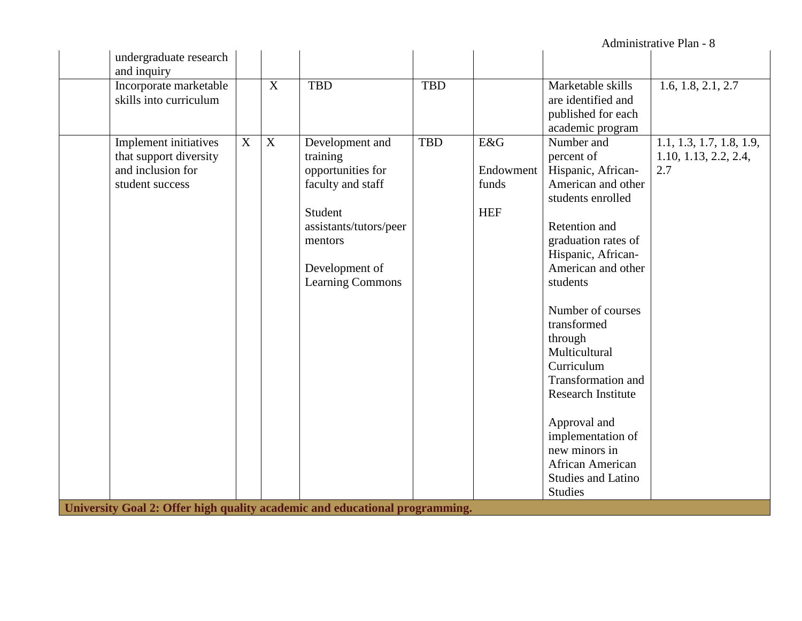Administrative Plan - 8

| undergraduate research                                                                                                                                                                     |                                                                                                                                                                    |                                 |                                                                                                                                                                                                                                                                                                                                                                                                                                                                           |                                                          |
|--------------------------------------------------------------------------------------------------------------------------------------------------------------------------------------------|--------------------------------------------------------------------------------------------------------------------------------------------------------------------|---------------------------------|---------------------------------------------------------------------------------------------------------------------------------------------------------------------------------------------------------------------------------------------------------------------------------------------------------------------------------------------------------------------------------------------------------------------------------------------------------------------------|----------------------------------------------------------|
| and inquiry<br>Incorporate marketable<br>X<br>skills into curriculum                                                                                                                       | <b>TBD</b>                                                                                                                                                         | <b>TBD</b>                      | Marketable skills<br>are identified and<br>published for each<br>academic program                                                                                                                                                                                                                                                                                                                                                                                         | 1.6, 1.8, 2.1, 2.7                                       |
| Implement initiatives<br>$\mathbf X$<br>X<br>that support diversity<br>and inclusion for<br>student success<br>University Goal 2: Offer high quality academic and educational programming. | Development and<br>training<br>opportunities for<br>faculty and staff<br>Student<br>assistants/tutors/peer<br>mentors<br>Development of<br><b>Learning Commons</b> | <b>TBD</b><br>E&G<br><b>HEF</b> | Number and<br>percent of<br>Hispanic, African-<br>Endowment<br>funds<br>American and other<br>students enrolled<br>Retention and<br>graduation rates of<br>Hispanic, African-<br>American and other<br>students<br>Number of courses<br>transformed<br>through<br>Multicultural<br>Curriculum<br><b>Transformation and</b><br><b>Research Institute</b><br>Approval and<br>implementation of<br>new minors in<br>African American<br>Studies and Latino<br><b>Studies</b> | 1.1, 1.3, 1.7, 1.8, 1.9,<br>1.10, 1.13, 2.2, 2.4,<br>2.7 |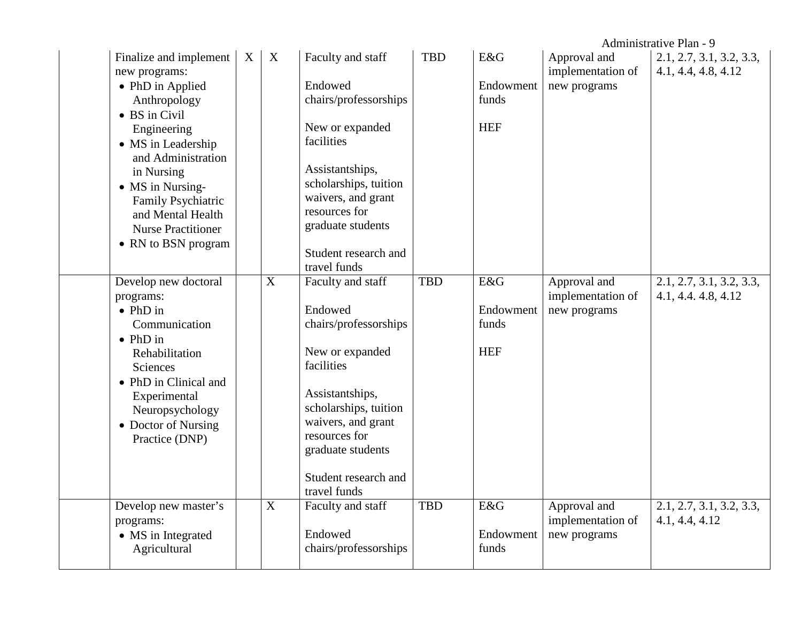|                                                                                                                                                                                                                                                                                          |   |             |                                                                                                                                                                                                                                                        |            |                                         |                                                   | Administrative Plan - 9                         |
|------------------------------------------------------------------------------------------------------------------------------------------------------------------------------------------------------------------------------------------------------------------------------------------|---|-------------|--------------------------------------------------------------------------------------------------------------------------------------------------------------------------------------------------------------------------------------------------------|------------|-----------------------------------------|---------------------------------------------------|-------------------------------------------------|
| Finalize and implement<br>new programs:<br>• PhD in Applied<br>Anthropology<br>• BS in Civil<br>Engineering<br>• MS in Leadership<br>and Administration<br>in Nursing<br>• MS in Nursing-<br>Family Psychiatric<br>and Mental Health<br><b>Nurse Practitioner</b><br>• RN to BSN program | X | X           | Faculty and staff<br>Endowed<br>chairs/professorships<br>New or expanded<br>facilities<br>Assistantships,<br>scholarships, tuition<br>waivers, and grant<br>resources for<br>graduate students<br>Student research and                                 | <b>TBD</b> | E&G<br>Endowment<br>funds<br><b>HEF</b> | Approval and<br>implementation of<br>new programs | 2.1, 2.7, 3.1, 3.2, 3.3,<br>4.1, 4.4, 4.8, 4.12 |
| Develop new doctoral<br>programs:<br>$\bullet$ PhD in<br>Communication<br>$\bullet$ PhD in<br>Rehabilitation<br>Sciences<br>• PhD in Clinical and<br>Experimental<br>Neuropsychology<br>• Doctor of Nursing<br>Practice (DNP)                                                            |   | $\mathbf X$ | travel funds<br>Faculty and staff<br>Endowed<br>chairs/professorships<br>New or expanded<br>facilities<br>Assistantships,<br>scholarships, tuition<br>waivers, and grant<br>resources for<br>graduate students<br>Student research and<br>travel funds | <b>TBD</b> | E&G<br>Endowment<br>funds<br><b>HEF</b> | Approval and<br>implementation of<br>new programs | 2.1, 2.7, 3.1, 3.2, 3.3,<br>4.1, 4.4. 4.8, 4.12 |
| Develop new master's<br>programs:<br>• MS in Integrated<br>Agricultural                                                                                                                                                                                                                  |   | X           | Faculty and staff<br>Endowed<br>chairs/professorships                                                                                                                                                                                                  | <b>TBD</b> | E&G<br>Endowment<br>funds               | Approval and<br>implementation of<br>new programs | 2.1, 2.7, 3.1, 3.2, 3.3,<br>4.1, 4.4, 4.12      |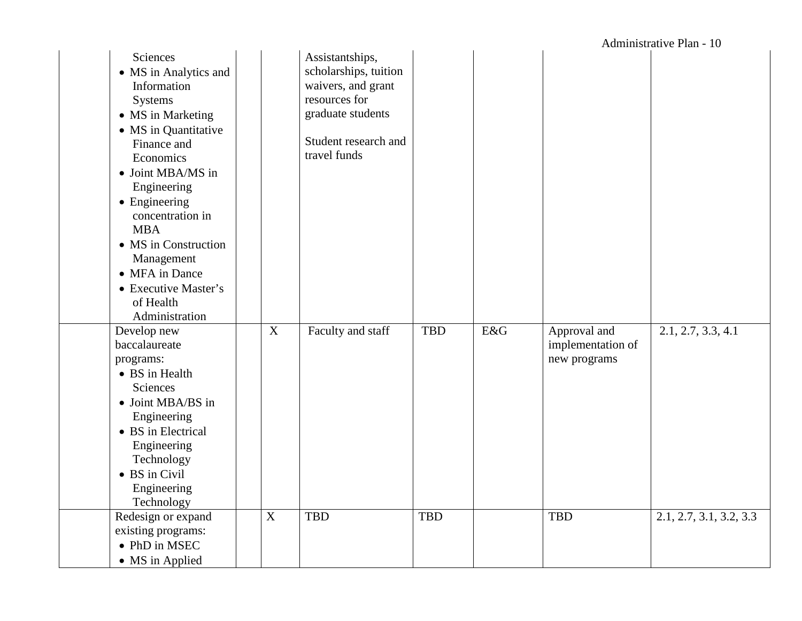| Sciences<br>• MS in Analytics and<br>Information<br><b>Systems</b><br>• MS in Marketing<br>• MS in Quantitative<br>Finance and<br>Economics<br>• Joint MBA/MS in<br>Engineering<br>• Engineering<br>concentration in<br><b>MBA</b><br>• MS in Construction<br>Management<br>• MFA in Dance<br>• Executive Master's<br>of Health<br>Administration |   | Assistantships,<br>scholarships, tuition<br>waivers, and grant<br>resources for<br>graduate students<br>Student research and<br>travel funds |            |     |                                                   |                         |
|---------------------------------------------------------------------------------------------------------------------------------------------------------------------------------------------------------------------------------------------------------------------------------------------------------------------------------------------------|---|----------------------------------------------------------------------------------------------------------------------------------------------|------------|-----|---------------------------------------------------|-------------------------|
| Develop new<br>baccalaureate<br>programs:<br>• BS in Health<br>Sciences<br>• Joint MBA/BS in<br>Engineering<br>• BS in Electrical<br>Engineering<br>Technology<br>• BS in Civil<br>Engineering<br>Technology                                                                                                                                      | X | Faculty and staff                                                                                                                            | <b>TBD</b> | E&G | Approval and<br>implementation of<br>new programs | 2.1, 2.7, 3.3, 4.1      |
| Redesign or expand<br>existing programs:<br>• PhD in MSEC<br>• MS in Applied                                                                                                                                                                                                                                                                      | X | <b>TBD</b>                                                                                                                                   | <b>TBD</b> |     | <b>TBD</b>                                        | 2.1, 2.7, 3.1, 3.2, 3.3 |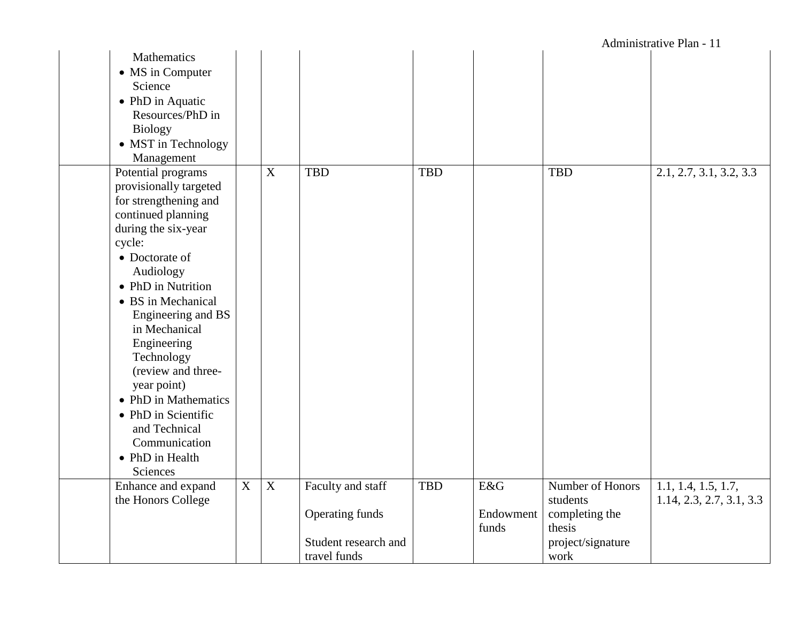|                                                                                                                                                                                                                                                                                                                                                                                                                                  |                           |                           |                                                                              |            |                           |                                                                                       | Administrative Plan - 11                        |
|----------------------------------------------------------------------------------------------------------------------------------------------------------------------------------------------------------------------------------------------------------------------------------------------------------------------------------------------------------------------------------------------------------------------------------|---------------------------|---------------------------|------------------------------------------------------------------------------|------------|---------------------------|---------------------------------------------------------------------------------------|-------------------------------------------------|
| Mathematics<br>• MS in Computer<br>Science<br>• PhD in Aquatic<br>Resources/PhD in<br><b>Biology</b><br>• MST in Technology<br>Management                                                                                                                                                                                                                                                                                        |                           |                           |                                                                              |            |                           |                                                                                       |                                                 |
| Potential programs<br>provisionally targeted<br>for strengthening and<br>continued planning<br>during the six-year<br>cycle:<br>• Doctorate of<br>Audiology<br>• PhD in Nutrition<br>• BS in Mechanical<br>Engineering and BS<br>in Mechanical<br>Engineering<br>Technology<br>(review and three-<br>year point)<br>• PhD in Mathematics<br>• PhD in Scientific<br>and Technical<br>Communication<br>• PhD in Health<br>Sciences |                           | $\boldsymbol{\mathrm{X}}$ | <b>TBD</b>                                                                   | <b>TBD</b> |                           | <b>TBD</b>                                                                            | 2.1, 2.7, 3.1, 3.2, 3.3                         |
| Enhance and expand<br>the Honors College                                                                                                                                                                                                                                                                                                                                                                                         | $\boldsymbol{\mathrm{X}}$ | $\overline{X}$            | Faculty and staff<br>Operating funds<br>Student research and<br>travel funds | <b>TBD</b> | E&G<br>Endowment<br>funds | Number of Honors<br>students<br>completing the<br>thesis<br>project/signature<br>work | 1.1, 1.4, 1.5, 1.7,<br>1.14, 2.3, 2.7, 3.1, 3.3 |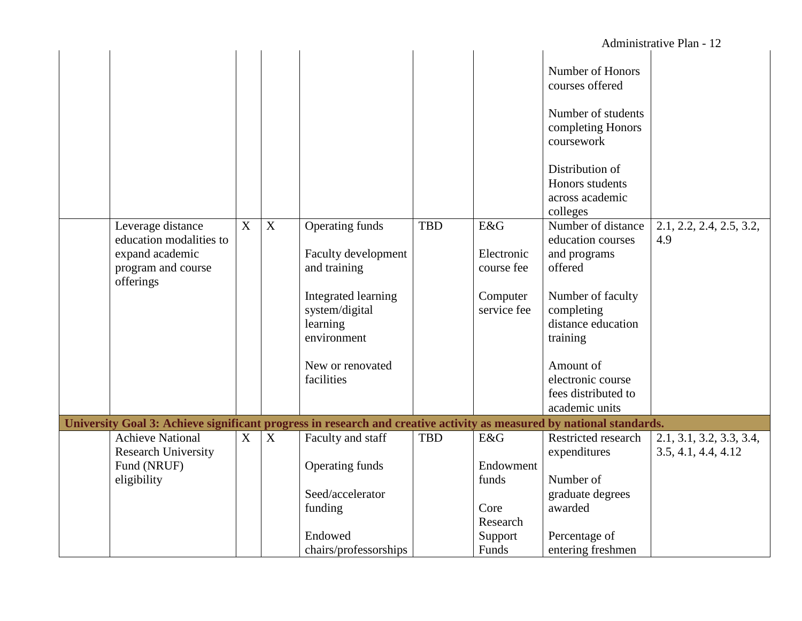|                                                                                                                      |                |                |                                                                  |            |                                        |                                                                         | Administrative Plan - 12                        |
|----------------------------------------------------------------------------------------------------------------------|----------------|----------------|------------------------------------------------------------------|------------|----------------------------------------|-------------------------------------------------------------------------|-------------------------------------------------|
|                                                                                                                      |                |                |                                                                  |            |                                        | Number of Honors<br>courses offered                                     |                                                 |
|                                                                                                                      |                |                |                                                                  |            |                                        | Number of students<br>completing Honors<br>coursework                   |                                                 |
|                                                                                                                      |                |                |                                                                  |            |                                        | Distribution of<br>Honors students<br>across academic<br>colleges       |                                                 |
| Leverage distance<br>education modalities to<br>expand academic<br>program and course<br>offerings                   | $\overline{X}$ | $\overline{X}$ | Operating funds<br>Faculty development<br>and training           | <b>TBD</b> | E&G<br>Electronic<br>course fee        | Number of distance<br>education courses<br>and programs<br>offered      | 2.1, 2.2, 2.4, 2.5, 3.2,<br>4.9                 |
|                                                                                                                      |                |                | Integrated learning<br>system/digital<br>learning<br>environment |            | Computer<br>service fee                | Number of faculty<br>completing<br>distance education<br>training       |                                                 |
|                                                                                                                      |                |                | New or renovated<br>facilities                                   |            |                                        | Amount of<br>electronic course<br>fees distributed to<br>academic units |                                                 |
| University Goal 3: Achieve significant progress in research and creative activity as measured by national standards. |                |                |                                                                  |            |                                        |                                                                         |                                                 |
| <b>Achieve National</b><br><b>Research University</b>                                                                | $\overline{X}$ | $\overline{X}$ | Faculty and staff                                                | <b>TBD</b> | E&G                                    | Restricted research<br>expenditures                                     | 2.1, 3.1, 3.2, 3.3, 3.4,<br>3.5, 4.1, 4.4, 4.12 |
| Fund (NRUF)<br>eligibility                                                                                           |                |                | Operating funds<br>Seed/accelerator<br>funding                   |            | Endowment<br>funds<br>Core<br>Research | Number of<br>graduate degrees<br>awarded                                |                                                 |
|                                                                                                                      |                |                | Endowed<br>chairs/professorships                                 |            | Support<br>Funds                       | Percentage of<br>entering freshmen                                      |                                                 |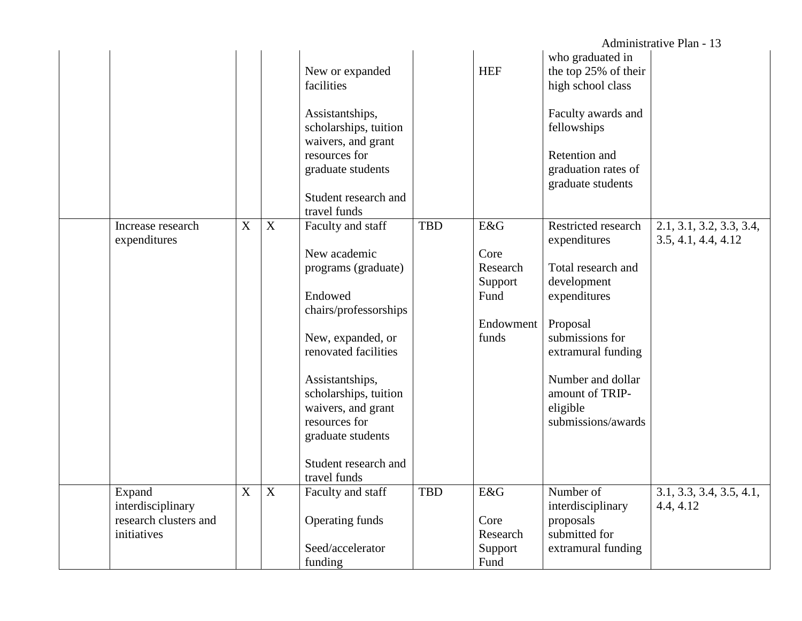|                                                                     |                           |             |                                                                                                                                                                                                                                                   |            |                                                                  |                                                                                                                                                                                                                         | Administrative Plan - 13                        |
|---------------------------------------------------------------------|---------------------------|-------------|---------------------------------------------------------------------------------------------------------------------------------------------------------------------------------------------------------------------------------------------------|------------|------------------------------------------------------------------|-------------------------------------------------------------------------------------------------------------------------------------------------------------------------------------------------------------------------|-------------------------------------------------|
|                                                                     |                           |             | New or expanded<br>facilities                                                                                                                                                                                                                     |            | <b>HEF</b>                                                       | who graduated in<br>the top 25% of their<br>high school class                                                                                                                                                           |                                                 |
|                                                                     |                           |             | Assistantships,<br>scholarships, tuition<br>waivers, and grant<br>resources for<br>graduate students                                                                                                                                              |            |                                                                  | Faculty awards and<br>fellowships<br>Retention and<br>graduation rates of<br>graduate students                                                                                                                          |                                                 |
|                                                                     |                           |             | Student research and<br>travel funds                                                                                                                                                                                                              |            |                                                                  |                                                                                                                                                                                                                         |                                                 |
| Increase research<br>expenditures                                   | $\boldsymbol{\mathrm{X}}$ | X           | Faculty and staff<br>New academic<br>programs (graduate)<br>Endowed<br>chairs/professorships<br>New, expanded, or<br>renovated facilities<br>Assistantships,<br>scholarships, tuition<br>waivers, and grant<br>resources for<br>graduate students | <b>TBD</b> | E&G<br>Core<br>Research<br>Support<br>Fund<br>Endowment<br>funds | Restricted research<br>expenditures<br>Total research and<br>development<br>expenditures<br>Proposal<br>submissions for<br>extramural funding<br>Number and dollar<br>amount of TRIP-<br>eligible<br>submissions/awards | 2.1, 3.1, 3.2, 3.3, 3.4,<br>3.5, 4.1, 4.4, 4.12 |
|                                                                     |                           |             | Student research and<br>travel funds                                                                                                                                                                                                              |            |                                                                  |                                                                                                                                                                                                                         |                                                 |
| Expand<br>interdisciplinary<br>research clusters and<br>initiatives | X                         | $\mathbf X$ | Faculty and staff<br>Operating funds<br>Seed/accelerator<br>funding                                                                                                                                                                               | <b>TBD</b> | E&G<br>Core<br>Research<br>Support<br>Fund                       | Number of<br>interdisciplinary<br>proposals<br>submitted for<br>extramural funding                                                                                                                                      | 3.1, 3.3, 3.4, 3.5, 4.1,<br>4.4, 4.12           |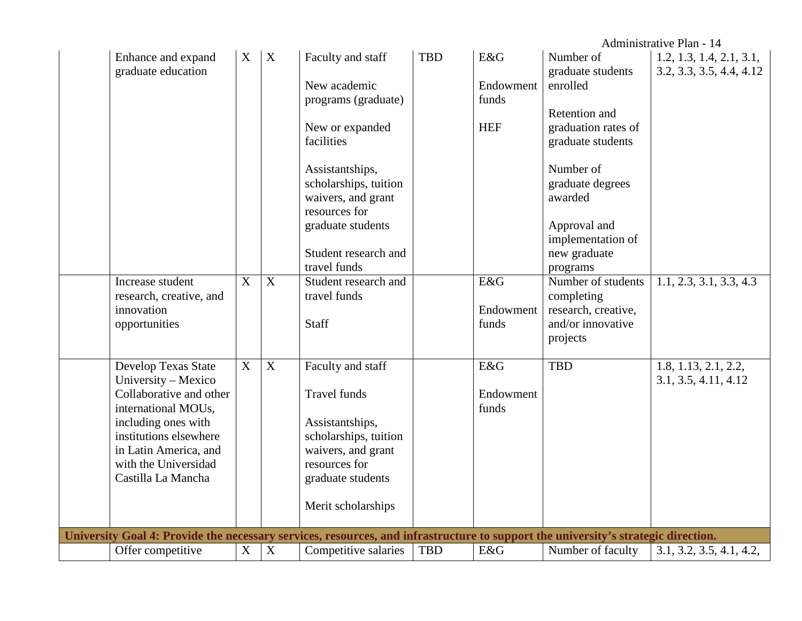|                                                                                                                                                        |             |                |                       |            |            |                     | Administrative Plan - 14 |
|--------------------------------------------------------------------------------------------------------------------------------------------------------|-------------|----------------|-----------------------|------------|------------|---------------------|--------------------------|
| Enhance and expand                                                                                                                                     | X           | $\mathbf X$    | Faculty and staff     | <b>TBD</b> | E&G        | Number of           | 1.2, 1.3, 1.4, 2.1, 3.1, |
| graduate education                                                                                                                                     |             |                |                       |            |            | graduate students   | 3.2, 3.3, 3.5, 4.4, 4.12 |
|                                                                                                                                                        |             |                | New academic          |            | Endowment  | enrolled            |                          |
|                                                                                                                                                        |             |                | programs (graduate)   |            | funds      |                     |                          |
|                                                                                                                                                        |             |                |                       |            |            | Retention and       |                          |
|                                                                                                                                                        |             |                | New or expanded       |            | <b>HEF</b> | graduation rates of |                          |
|                                                                                                                                                        |             |                | facilities            |            |            | graduate students   |                          |
|                                                                                                                                                        |             |                |                       |            |            |                     |                          |
|                                                                                                                                                        |             |                | Assistantships,       |            |            | Number of           |                          |
|                                                                                                                                                        |             |                | scholarships, tuition |            |            | graduate degrees    |                          |
|                                                                                                                                                        |             |                | waivers, and grant    |            |            | awarded             |                          |
|                                                                                                                                                        |             |                | resources for         |            |            |                     |                          |
|                                                                                                                                                        |             |                | graduate students     |            |            | Approval and        |                          |
|                                                                                                                                                        |             |                |                       |            |            | implementation of   |                          |
|                                                                                                                                                        |             |                | Student research and  |            |            | new graduate        |                          |
|                                                                                                                                                        |             |                | travel funds          |            |            | programs            |                          |
| Increase student                                                                                                                                       | X           | X              | Student research and  |            | E&G        | Number of students  | 1.1, 2.3, 3.1, 3.3, 4.3  |
| research, creative, and                                                                                                                                |             |                | travel funds          |            |            | completing          |                          |
| innovation                                                                                                                                             |             |                |                       |            | Endowment  | research, creative, |                          |
| opportunities                                                                                                                                          |             |                | Staff                 |            | funds      | and/or innovative   |                          |
|                                                                                                                                                        |             |                |                       |            |            | projects            |                          |
| Develop Texas State                                                                                                                                    | $\mathbf X$ | $\overline{X}$ | Faculty and staff     |            | E&G        | <b>TBD</b>          | 1.8, 1.13, 2.1, 2.2,     |
| University - Mexico                                                                                                                                    |             |                |                       |            |            |                     | 3.1, 3.5, 4.11, 4.12     |
| Collaborative and other                                                                                                                                |             |                | <b>Travel funds</b>   |            | Endowment  |                     |                          |
| international MOUs,                                                                                                                                    |             |                |                       |            | funds      |                     |                          |
| including ones with                                                                                                                                    |             |                | Assistantships,       |            |            |                     |                          |
| institutions elsewhere                                                                                                                                 |             |                | scholarships, tuition |            |            |                     |                          |
| in Latin America, and                                                                                                                                  |             |                | waivers, and grant    |            |            |                     |                          |
| with the Universidad                                                                                                                                   |             |                | resources for         |            |            |                     |                          |
| Castilla La Mancha                                                                                                                                     |             |                | graduate students     |            |            |                     |                          |
|                                                                                                                                                        |             |                |                       |            |            |                     |                          |
|                                                                                                                                                        |             |                | Merit scholarships    |            |            |                     |                          |
|                                                                                                                                                        |             |                |                       |            |            |                     |                          |
| University Goal 4: Provide the necessary services, resources, and infrastructure to support the university's strategic direction.<br>Offer competitive | $\mathbf X$ | $\overline{X}$ | Competitive salaries  | <b>TBD</b> | E&G        | Number of faculty   | 3.1, 3.2, 3.5, 4.1, 4.2, |
|                                                                                                                                                        |             |                |                       |            |            |                     |                          |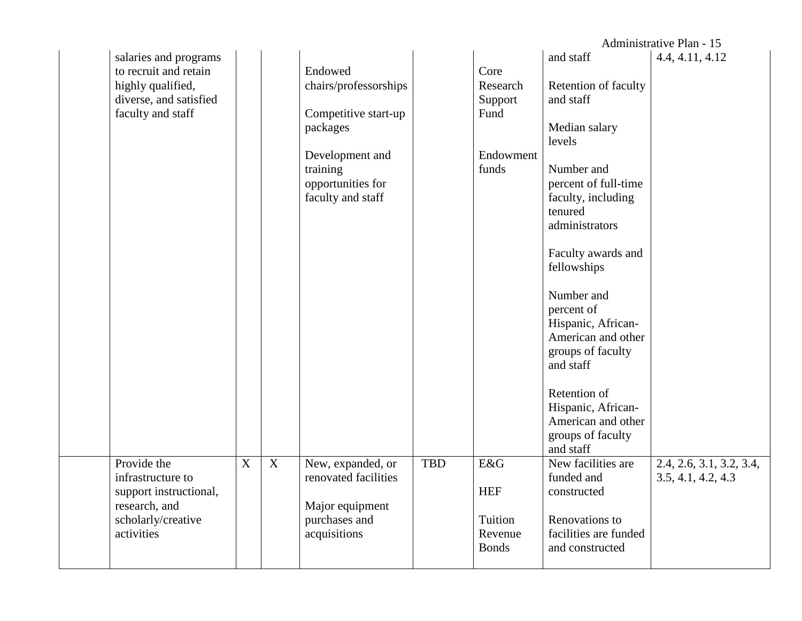|                                                                                                                    |                           |   |                                                                                                                                               |            |                                                           |                                                                                                                                                                                                                                                                                                                                                                                                                 | Administrative Plan - 15                       |
|--------------------------------------------------------------------------------------------------------------------|---------------------------|---|-----------------------------------------------------------------------------------------------------------------------------------------------|------------|-----------------------------------------------------------|-----------------------------------------------------------------------------------------------------------------------------------------------------------------------------------------------------------------------------------------------------------------------------------------------------------------------------------------------------------------------------------------------------------------|------------------------------------------------|
| salaries and programs<br>to recruit and retain<br>highly qualified,<br>diverse, and satisfied<br>faculty and staff |                           |   | Endowed<br>chairs/professorships<br>Competitive start-up<br>packages<br>Development and<br>training<br>opportunities for<br>faculty and staff |            | Core<br>Research<br>Support<br>Fund<br>Endowment<br>funds | and staff<br>Retention of faculty<br>and staff<br>Median salary<br>levels<br>Number and<br>percent of full-time<br>faculty, including<br>tenured<br>administrators<br>Faculty awards and<br>fellowships<br>Number and<br>percent of<br>Hispanic, African-<br>American and other<br>groups of faculty<br>and staff<br>Retention of<br>Hispanic, African-<br>American and other<br>groups of faculty<br>and staff | 4.4, 4.11, 4.12                                |
| Provide the<br>infrastructure to<br>support instructional,<br>research, and<br>scholarly/creative<br>activities    | $\boldsymbol{\mathrm{X}}$ | X | New, expanded, or<br>renovated facilities<br>Major equipment<br>purchases and<br>acquisitions                                                 | <b>TBD</b> | E&G<br><b>HEF</b><br>Tuition<br>Revenue<br><b>Bonds</b>   | New facilities are<br>funded and<br>constructed<br>Renovations to<br>facilities are funded<br>and constructed                                                                                                                                                                                                                                                                                                   | 2.4, 2.6, 3.1, 3.2, 3.4,<br>3.5, 4.1, 4.2, 4.3 |